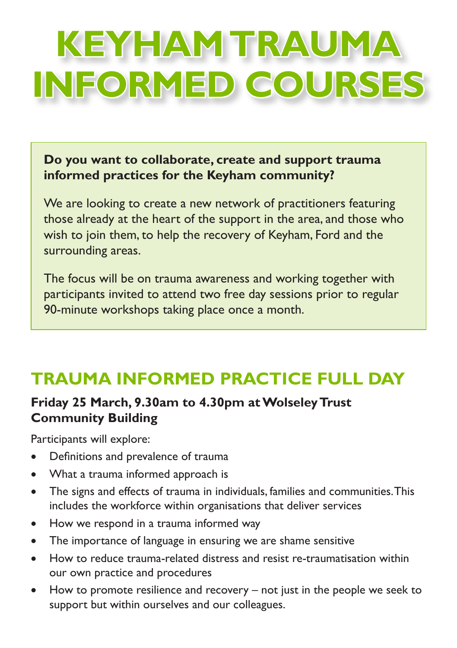# **KEYHAM TRAUMA INFORMED COURSES**

**Do you want to collaborate, create and support trauma informed practices for the Keyham community?**

We are looking to create a new network of practitioners featuring those already at the heart of the support in the area, and those who wish to join them, to help the recovery of Keyham, Ford and the surrounding areas.

The focus will be on trauma awareness and working together with participants invited to attend two free day sessions prior to regular 90-minute workshops taking place once a month.

## **TRAUMA INFORMED PRACTICE FULL DAY**

### **Friday 25 March, 9.30am to 4.30pm at Wolseley Trust Community Building**

Participants will explore:

- • Definitions and prevalence of trauma
- What a trauma informed approach is
- The signs and effects of trauma in individuals, families and communities. This includes the workforce within organisations that deliver services
- How we respond in a trauma informed way
- The importance of language in ensuring we are shame sensitive
- • How to reduce trauma-related distress and resist re-traumatisation within our own practice and procedures
- How to promote resilience and recovery  $-$  not just in the people we seek to support but within ourselves and our colleagues.